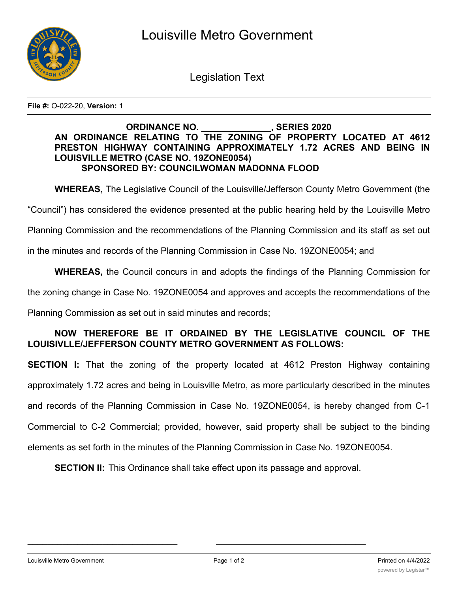

Legislation Text

**File #:** O-022-20, **Version:** 1

## **ORDINANCE NO. \_\_\_\_\_\_\_\_\_\_\_\_\_\_, SERIES 2020 AN ORDINANCE RELATING TO THE ZONING OF PROPERTY LOCATED AT 4612 PRESTON HIGHWAY CONTAINING APPROXIMATELY 1.72 ACRES AND BEING IN LOUISVILLE METRO (CASE NO. 19ZONE0054) SPONSORED BY: COUNCILWOMAN MADONNA FLOOD**

**WHEREAS,** The Legislative Council of the Louisville/Jefferson County Metro Government (the

"Council") has considered the evidence presented at the public hearing held by the Louisville Metro

Planning Commission and the recommendations of the Planning Commission and its staff as set out

in the minutes and records of the Planning Commission in Case No. 19ZONE0054; and

**WHEREAS,** the Council concurs in and adopts the findings of the Planning Commission for

the zoning change in Case No. 19ZONE0054 and approves and accepts the recommendations of the

Planning Commission as set out in said minutes and records;

## **NOW THEREFORE BE IT ORDAINED BY THE LEGISLATIVE COUNCIL OF THE LOUISIVLLE/JEFFERSON COUNTY METRO GOVERNMENT AS FOLLOWS:**

**SECTION I:** That the zoning of the property located at 4612 Preston Highway containing approximately 1.72 acres and being in Louisville Metro, as more particularly described in the minutes and records of the Planning Commission in Case No. 19ZONE0054, is hereby changed from C-1 Commercial to C-2 Commercial; provided, however, said property shall be subject to the binding elements as set forth in the minutes of the Planning Commission in Case No. 19ZONE0054.

**SECTION II:** This Ordinance shall take effect upon its passage and approval.

 $\mathcal{L}_\text{max}$  , and the contribution of the contribution of the contribution of the contribution of the contribution of the contribution of the contribution of the contribution of the contribution of the contribution of t

Louisville Metro Government Page 1 of 2 Printed on 4/4/2022